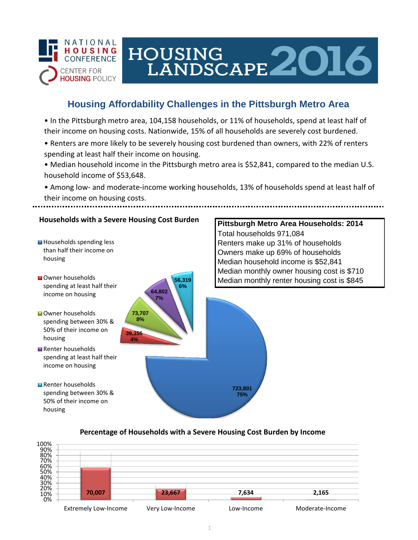

# HOUSING LANDSCAPE 2016

## **Housing Affordability Challenges in the Pittsburgh Metro Area**

• In the Pittsburgh metro area, 104,158 households, or 11% of households, spend at least half of their income on housing costs. Nationwide, 15% of all households are severely cost burdened.

- Renters are more likely to be severely housing cost burdened than owners, with 22% of renters spending at least half their income on housing.
- Median household income in the Pittsburgh metro area is \$52,841, compared to the median U.S. household income of \$53,648.
- Among low- and moderate-income working households, 13% of households spend at least half of their income on housing costs.

## **Households with a Severe Housing Cost Burden**

**39,356 4%**

**73,707 8%**

**64,802 7%**

**56,319 6%**



- **N**Owner households spending at least half their income on housing
- **Owner households** spending between 30% & 50% of their income on housing
- Renter households spending at least half their income on housing

**Renter households** spending between 30% & 50% of their income on housing

**Pittsburgh Metro Area Households: 2014** Total households 971,084 Renters make up 31% of households Owners make up 69% of households Median household income is \$52,841 Median monthly owner housing cost is \$710 Median monthly renter housing cost is \$845

#### **Percentage of Households with a Severe Housing Cost Burden by Income**

**723,801 75%**